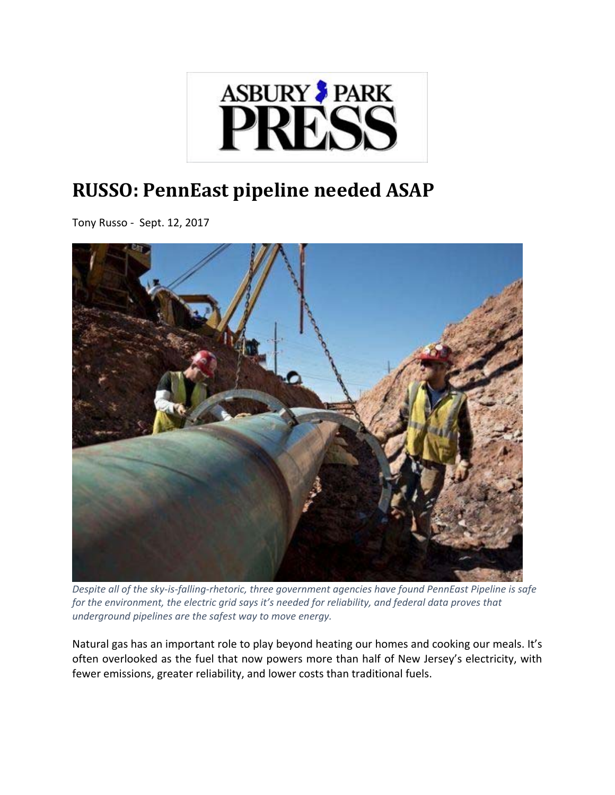

## **RUSSO: PennEast pipeline needed ASAP**

Tony Russo ‐ Sept. 12, 2017



Despite all of the sky-is-falling-rhetoric, three government agencies have found PennEast Pipeline is safe *for the environment, the electric grid says it's needed for reliability, and federal data proves that underground pipelines are the safest way to move energy.*

Natural gas has an important role to play beyond heating our homes and cooking our meals. It's often overlooked as the fuel that now powers more than half of New Jersey's electricity, with fewer emissions, greater reliability, and lower costs than traditional fuels.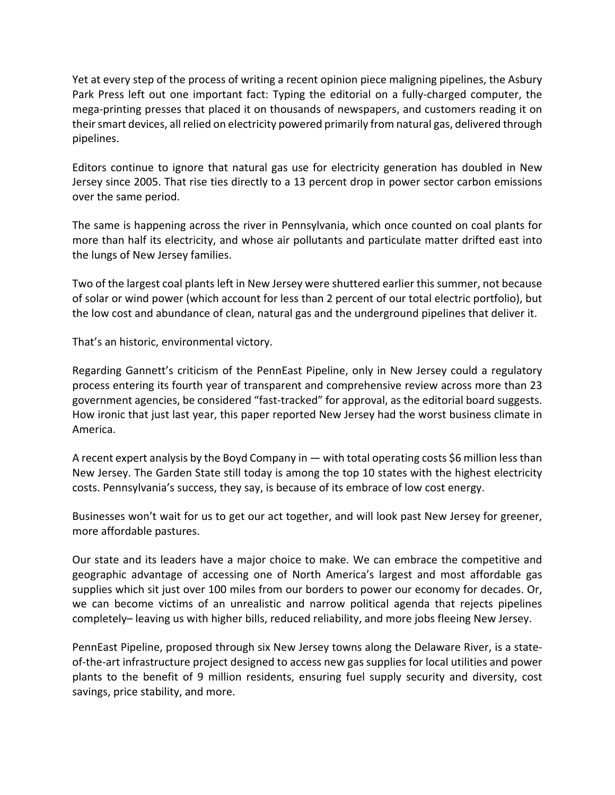Yet at every step of the process of writing a recent opinion piece maligning pipelines, the Asbury Park Press left out one important fact: Typing the editorial on a fully‐charged computer, the mega‐printing presses that placed it on thousands of newspapers, and customers reading it on their smart devices, all relied on electricity powered primarily from natural gas, delivered through pipelines.

Editors continue to ignore that natural gas use for electricity generation has doubled in New Jersey since 2005. That rise ties directly to a 13 percent drop in power sector carbon emissions over the same period.

The same is happening across the river in Pennsylvania, which once counted on coal plants for more than half its electricity, and whose air pollutants and particulate matter drifted east into the lungs of New Jersey families.

Two of the largest coal plants left in New Jersey were shuttered earlier this summer, not because of solar or wind power (which account for less than 2 percent of our total electric portfolio), but the low cost and abundance of clean, natural gas and the underground pipelines that deliver it.

That's an historic, environmental victory.

Regarding Gannett's criticism of the PennEast Pipeline, only in New Jersey could a regulatory process entering its fourth year of transparent and comprehensive review across more than 23 government agencies, be considered "fast‐tracked" for approval, as the editorial board suggests. How ironic that just last year, this paper reported New Jersey had the worst business climate in America.

A recent expert analysis by the Boyd Company in — with total operating costs \$6 million lessthan New Jersey. The Garden State still today is among the top 10 states with the highest electricity costs. Pennsylvania's success, they say, is because of its embrace of low cost energy.

Businesses won't wait for us to get our act together, and will look past New Jersey for greener, more affordable pastures.

Our state and its leaders have a major choice to make. We can embrace the competitive and geographic advantage of accessing one of North America's largest and most affordable gas supplies which sit just over 100 miles from our borders to power our economy for decades. Or, we can become victims of an unrealistic and narrow political agenda that rejects pipelines completely– leaving us with higher bills, reduced reliability, and more jobs fleeing New Jersey.

PennEast Pipeline, proposed through six New Jersey towns along the Delaware River, is a state‐ of-the-art infrastructure project designed to access new gas supplies for local utilities and power plants to the benefit of 9 million residents, ensuring fuel supply security and diversity, cost savings, price stability, and more.